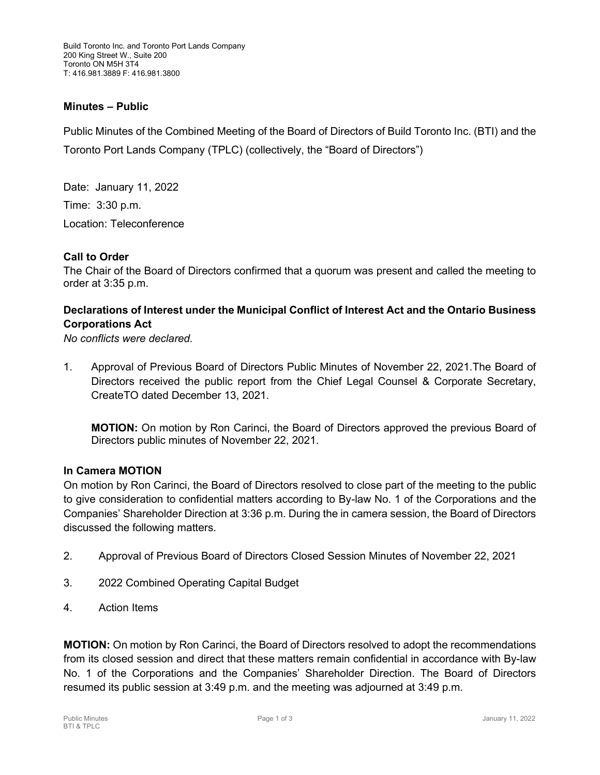Build Toronto Inc. and Toronto Port Lands Company 200 King Street W., Suite 200 Toronto ON M5H 3T4 T: 416.981.3889 F: 416.981.3800

## **Minutes – Public**

Public Minutes of the Combined Meeting of the Board of Directors of Build Toronto Inc. (BTI) and the Toronto Port Lands Company (TPLC) (collectively, the "Board of Directors")

Date: January 11, 2022 Time: 3:30 p.m. Location: Teleconference

### **Call to Order**

The Chair of the Board of Directors confirmed that a quorum was present and called the meeting to order at 3:35 p.m.

# **Declarations of Interest under the Municipal Conflict of Interest Act and the Ontario Business Corporations Act**

*No conflicts were declared.*

1. Approval of Previous Board of Directors Public Minutes of November 22, 2021.The Board of Directors received the public report from the Chief Legal Counsel & Corporate Secretary, CreateTO dated December 13, 2021.

**MOTION:** On motion by Ron Carinci, the Board of Directors approved the previous Board of Directors public minutes of November 22, 2021.

### **In Camera MOTION**

On motion by Ron Carinci, the Board of Directors resolved to close part of the meeting to the public to give consideration to confidential matters according to By-law No. 1 of the Corporations and the Companies' Shareholder Direction at 3:36 p.m. During the in camera session, the Board of Directors discussed the following matters.

- 2. Approval of Previous Board of Directors Closed Session Minutes of November 22, 2021
- 3. 2022 Combined Operating Capital Budget
- 4. Action Items

**MOTION:** On motion by Ron Carinci, the Board of Directors resolved to adopt the recommendations from its closed session and direct that these matters remain confidential in accordance with By-law No. 1 of the Corporations and the Companies' Shareholder Direction. The Board of Directors resumed its public session at 3:49 p.m. and the meeting was adjourned at 3:49 p.m.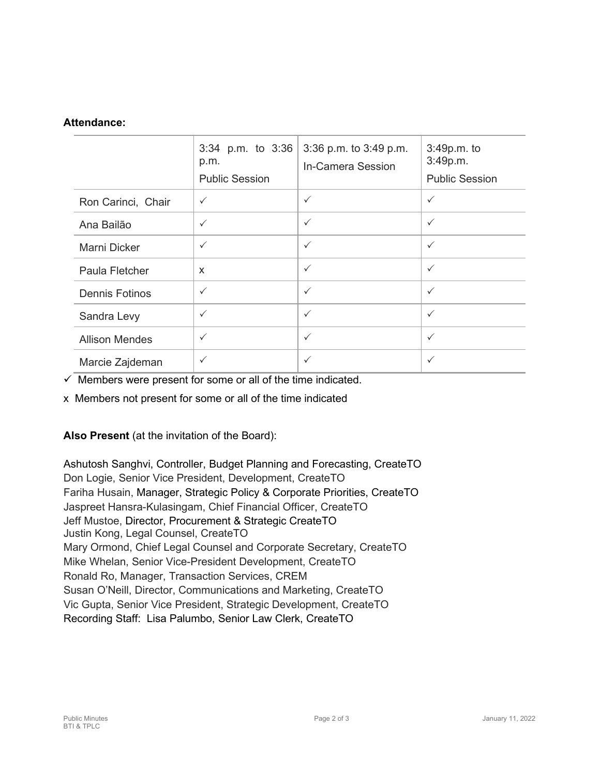# **Attendance:**

|                       | 3:34 p.m. to 3:36<br>p.m.<br><b>Public Session</b> | 3:36 p.m. to 3:49 p.m.<br>In-Camera Session | 3:49p.m. to<br>3:49p.m.<br><b>Public Session</b> |
|-----------------------|----------------------------------------------------|---------------------------------------------|--------------------------------------------------|
| Ron Carinci, Chair    | $\checkmark$                                       | $\checkmark$                                | $\checkmark$                                     |
| Ana Bailão            | $\checkmark$                                       | $\checkmark$                                | $\checkmark$                                     |
| Marni Dicker          | $\checkmark$                                       | $\checkmark$                                | $\checkmark$                                     |
| Paula Fletcher        | X                                                  | $\checkmark$                                | $\checkmark$                                     |
| <b>Dennis Fotinos</b> | $\checkmark$                                       | $\checkmark$                                | $\checkmark$                                     |
| Sandra Levy           | $\checkmark$                                       | $\checkmark$                                | $\checkmark$                                     |
| <b>Allison Mendes</b> | $\checkmark$                                       | $\checkmark$                                | $\checkmark$                                     |
| Marcie Zajdeman       | $\checkmark$                                       | $\checkmark$                                | $\checkmark$                                     |

 $\checkmark$  Members were present for some or all of the time indicated.

x Members not present for some or all of the time indicated

**Also Present** (at the invitation of the Board):

Ashutosh Sanghvi, Controller, Budget Planning and Forecasting, CreateTO Don Logie, Senior Vice President, Development, CreateTO Fariha Husain, Manager, Strategic Policy & Corporate Priorities, CreateTO Jaspreet Hansra-Kulasingam, Chief Financial Officer, CreateTO Jeff Mustoe, Director, Procurement & Strategic CreateTO Justin Kong, Legal Counsel, CreateTO Mary Ormond, Chief Legal Counsel and Corporate Secretary, CreateTO Mike Whelan, Senior Vice-President Development, CreateTO Ronald Ro, Manager, Transaction Services, CREM Susan O'Neill, Director, Communications and Marketing, CreateTO Vic Gupta, Senior Vice President, Strategic Development, CreateTO Recording Staff: Lisa Palumbo, Senior Law Clerk, CreateTO